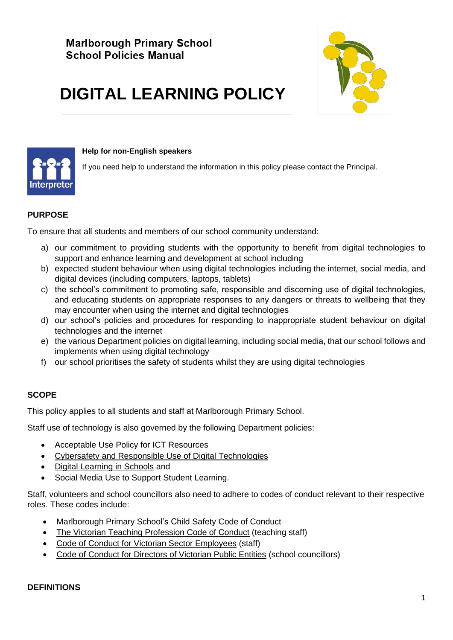

#### **Help for non-English speakers**

If you need help to understand the information in this policy please contact the Principal.

# **PURPOSE**

To ensure that all students and members of our school community understand:

**DIGITAL LEARNING POLICY**

- a) our commitment to providing students with the opportunity to benefit from digital technologies to support and enhance learning and development at school including
- b) expected student behaviour when using digital technologies including the internet, social media, and digital devices (including computers, laptops, tablets)
- c) the school's commitment to promoting safe, responsible and discerning use of digital technologies, and educating students on appropriate responses to any dangers or threats to wellbeing that they may encounter when using the internet and digital technologies
- d) our school's policies and procedures for responding to inappropriate student behaviour on digital technologies and the internet
- e) the various Department policies on digital learning, including social media, that our school follows and implements when using digital technology
- f) our school prioritises the safety of students whilst they are using digital technologies

# **SCOPE**

This policy applies to all students and staff at Marlborough Primary School.

Staff use of technology is also governed by the following Department policies:

- [Acceptable Use Policy](https://www2.education.vic.gov.au/pal/ict-acceptable-use/overview) for ICT Resources
- [Cybersafety and Responsible Use of Digital Technologies](https://www2.education.vic.gov.au/pal/cybersafety/policy)
- [Digital Learning in Schools](https://www2.education.vic.gov.au/pal/digital-learning/policy) and
- [Social Media Use to Support Student Learning.](https://www2.education.vic.gov.au/pal/social-media/policy)

Staff, volunteers and school councillors also need to adhere to codes of conduct relevant to their respective roles. These codes include:

- Marlborough Primary School's Child Safety Code of Conduct
- [The Victorian Teaching Profession Code of Conduct](https://www.vit.vic.edu.au/__data/assets/pdf_file/0018/35604/Code-of-Conduct-2016.pdf) (teaching staff)
- [Code of Conduct for Victorian Sector Employees](https://www2.education.vic.gov.au/pal/code-conduct/overview) (staff)
- [Code of Conduct for Directors of Victorian Public Entities](https://www2.education.vic.gov.au/pal/school-council-conduct/policy) (school councillors)

#### **DEFINITIONS**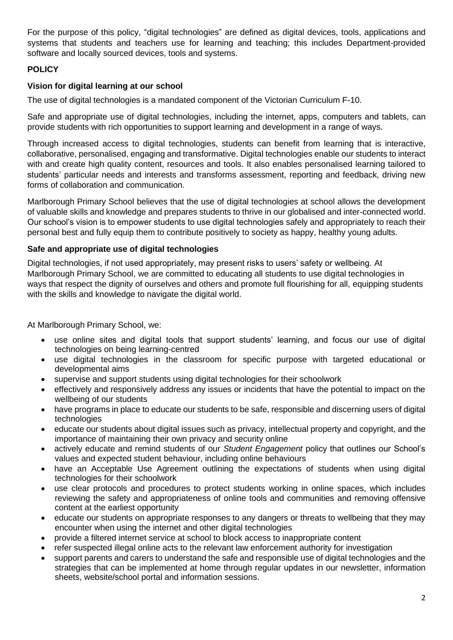For the purpose of this policy, "digital technologies" are defined as digital devices, tools, applications and systems that students and teachers use for learning and teaching; this includes Department-provided software and locally sourced devices, tools and systems.

# **POLICY**

# **Vision for digital learning at our school**

The use of digital technologies is a mandated component of the Victorian Curriculum F-10.

Safe and appropriate use of digital technologies, including the internet, apps, computers and tablets, can provide students with rich opportunities to support learning and development in a range of ways.

Through increased access to digital technologies, students can benefit from learning that is interactive, collaborative, personalised, engaging and transformative. Digital technologies enable our students to interact with and create high quality content, resources and tools. It also enables personalised learning tailored to students' particular needs and interests and transforms assessment, reporting and feedback, driving new forms of collaboration and communication.

Marlborough Primary School believes that the use of digital technologies at school allows the development of valuable skills and knowledge and prepares students to thrive in our globalised and inter-connected world. Our school's vision is to empower students to use digital technologies safely and appropriately to reach their personal best and fully equip them to contribute positively to society as happy, healthy young adults.

# **Safe and appropriate use of digital technologies**

Digital technologies, if not used appropriately, may present risks to users' safety or wellbeing. At Marlborough Primary School, we are committed to educating all students to use digital technologies in ways that respect the dignity of ourselves and others and promote full flourishing for all, equipping students with the skills and knowledge to navigate the digital world.

At Marlborough Primary School, we:

- use online sites and digital tools that support students' learning, and focus our use of digital technologies on being learning-centred
- use digital technologies in the classroom for specific purpose with targeted educational or developmental aims
- supervise and support students using digital technologies for their schoolwork
- effectively and responsively address any issues or incidents that have the potential to impact on the wellbeing of our students
- have programs in place to educate our students to be safe, responsible and discerning users of digital technologies
- educate our students about digital issues such as privacy, intellectual property and copyright, and the importance of maintaining their own privacy and security online
- actively educate and remind students of our *Student Engagement* policy that outlines our School's values and expected student behaviour, including online behaviours
- have an Acceptable Use Agreement outlining the expectations of students when using digital technologies for their schoolwork
- use clear protocols and procedures to protect students working in online spaces, which includes reviewing the safety and appropriateness of online tools and communities and removing offensive content at the earliest opportunity
- educate our students on appropriate responses to any dangers or threats to wellbeing that they may encounter when using the internet and other digital technologies
- provide a filtered internet service at school to block access to inappropriate content
- refer suspected illegal online acts to the relevant law enforcement authority for investigation
- support parents and carers to understand the safe and responsible use of digital technologies and the strategies that can be implemented at home through regular updates in our newsletter, information sheets, website/school portal and information sessions.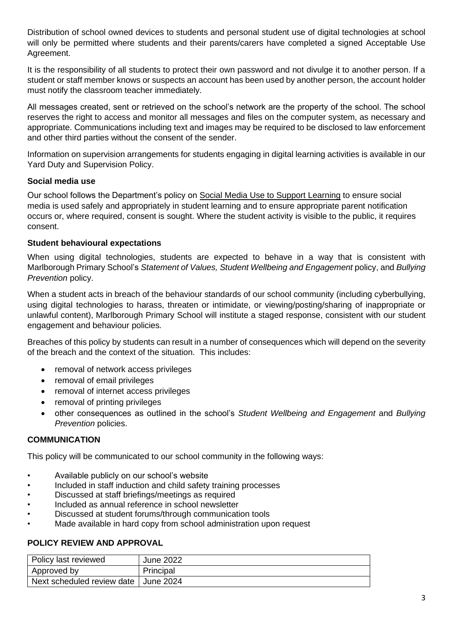Distribution of school owned devices to students and personal student use of digital technologies at school will only be permitted where students and their parents/carers have completed a signed Acceptable Use Agreement.

It is the responsibility of all students to protect their own password and not divulge it to another person. If a student or staff member knows or suspects an account has been used by another person, the account holder must notify the classroom teacher immediately.

All messages created, sent or retrieved on the school's network are the property of the school. The school reserves the right to access and monitor all messages and files on the computer system, as necessary and appropriate. Communications including text and images may be required to be disclosed to law enforcement and other third parties without the consent of the sender.

Information on supervision arrangements for students engaging in digital learning activities is available in our Yard Duty and Supervision Policy.

# **Social media use**

Our school follows the Department's policy on [Social Media Use to Support Learning](https://www2.education.vic.gov.au/pal/social-media/policy) to ensure social media is used safely and appropriately in student learning and to ensure appropriate parent notification occurs or, where required, consent is sought. Where the student activity is visible to the public, it requires consent.

# **Student behavioural expectations**

When using digital technologies, students are expected to behave in a way that is consistent with Marlborough Primary School's *Statement of Values, Student Wellbeing and Engagement* policy, and *Bullying Prevention* policy.

When a student acts in breach of the behaviour standards of our school community (including cyberbullying, using digital technologies to harass, threaten or intimidate, or viewing/posting/sharing of inappropriate or unlawful content), Marlborough Primary School will institute a staged response, consistent with our student engagement and behaviour policies*.*

Breaches of this policy by students can result in a number of consequences which will depend on the severity of the breach and the context of the situation. This includes:

- removal of network access privileges
- removal of email privileges
- removal of internet access privileges
- removal of printing privileges
- other consequences as outlined in the school's *Student Wellbeing and Engagement* and *Bullying Prevention* policies.

#### **COMMUNICATION**

This policy will be communicated to our school community in the following ways:

- Available publicly on our school's website
- Included in staff induction and child safety training processes
- Discussed at staff briefings/meetings as required
- Included as annual reference in school newsletter
- Discussed at student forums/through communication tools
- Made available in hard copy from school administration upon request

#### **POLICY REVIEW AND APPROVAL**

| Policy last reviewed                   | <b>June 2022</b> |
|----------------------------------------|------------------|
| Approved by                            | Principal        |
| Next scheduled review date   June 2024 |                  |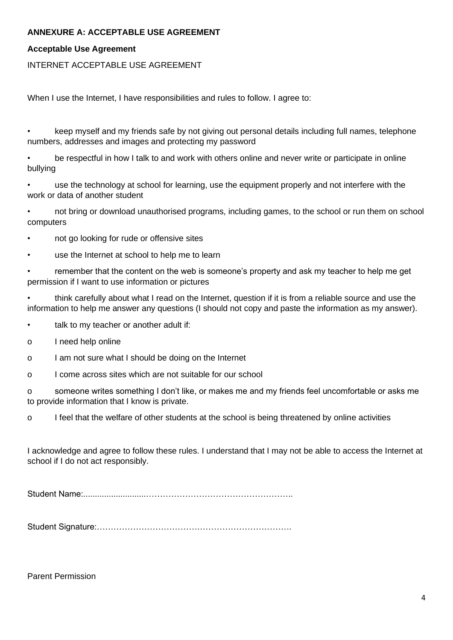# **ANNEXURE A: ACCEPTABLE USE AGREEMENT**

#### **Acceptable Use Agreement**

#### INTERNET ACCEPTABLE USE AGREEMENT

When I use the Internet. I have responsibilities and rules to follow. I agree to:

• keep myself and my friends safe by not giving out personal details including full names, telephone numbers, addresses and images and protecting my password

• be respectful in how I talk to and work with others online and never write or participate in online bullying

use the technology at school for learning, use the equipment properly and not interfere with the work or data of another student

• not bring or download unauthorised programs, including games, to the school or run them on school computers

- not go looking for rude or offensive sites
- use the Internet at school to help me to learn

• remember that the content on the web is someone's property and ask my teacher to help me get permission if I want to use information or pictures

• think carefully about what I read on the Internet, question if it is from a reliable source and use the information to help me answer any questions (I should not copy and paste the information as my answer).

• talk to my teacher or another adult if:

o I need help online

o I am not sure what I should be doing on the Internet

o I come across sites which are not suitable for our school

o someone writes something I don't like, or makes me and my friends feel uncomfortable or asks me to provide information that I know is private.

o I feel that the welfare of other students at the school is being threatened by online activities

I acknowledge and agree to follow these rules. I understand that I may not be able to access the Internet at school if I do not act responsibly.

Student Name:...........................……………………………………………..

Student Signature:…………………………………………………………….

Parent Permission